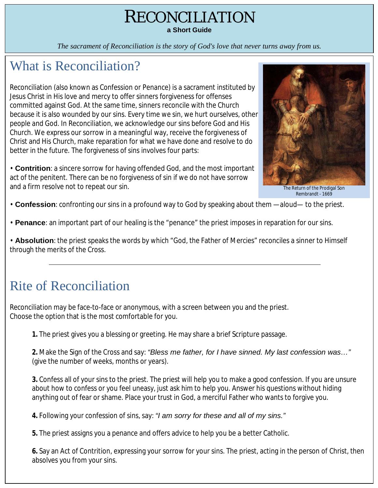# RECONCILIATION

**a Short Guide**

*The sacrament of Reconciliation is the story of God's love that never turns away from us.*

### What is Reconciliation?

Reconciliation (also known as Confession or Penance) is a sacrament instituted by Jesus Christ in His love and mercy to offer sinners forgiveness for offenses committed against God. At the same time, sinners reconcile with the Church because it is also wounded by our sins. Every time we sin, we hurt ourselves, other people and God. In Reconciliation, we acknowledge our sins before God and His Church. We express our sorrow in a meaningful way, receive the forgiveness of Christ and His Church, make reparation for what we have done and resolve to do better in the future. The forgiveness of sins involves four parts:

• **Contrition**: a sincere sorrow for having offended God, and the most important act of the penitent. There can be no forgiveness of sin if we do not have sorrow and a firm resolve not to repeat our sin.



Return of the Prodigal Son Rembrandt - 1669

• **Confession**: confronting our sins in a profound way to God by speaking about them —aloud— to the priest.

• **Penance**: an important part of our healing is the "penance" the priest imposes in reparation for our sins.

• **Absolution**: the priest speaks the words by which "God, the Father of Mercies" reconciles a sinner to Himself through the merits of the Cross.

## Rite of Reconciliation

Reconciliation may be face-to-face or anonymous, with a screen between you and the priest. Choose the option that is the most comfortable for you.

**1.** The priest gives you a blessing or greeting. He may share a brief Scripture passage.

**2.** Make the Sign of the Cross and say: *"Bless me father, for I have sinned. My last confession was…"*  (give the number of weeks, months or years).

**3.** Confess all of your sins to the priest. The priest will help you to make a good confession. If you are unsure about how to confess or you feel uneasy, just ask him to help you. Answer his questions without hiding anything out of fear or shame. Place your trust in God, a merciful Father who wants to forgive you.

**4.** Following your confession of sins, say: *"I am sorry for these and all of my sins."*

**5.** The priest assigns you a penance and offers advice to help you be a better Catholic.

**6.** Say an Act of Contrition, expressing your sorrow for your sins. The priest, acting in the person of Christ, then absolves you from your sins.